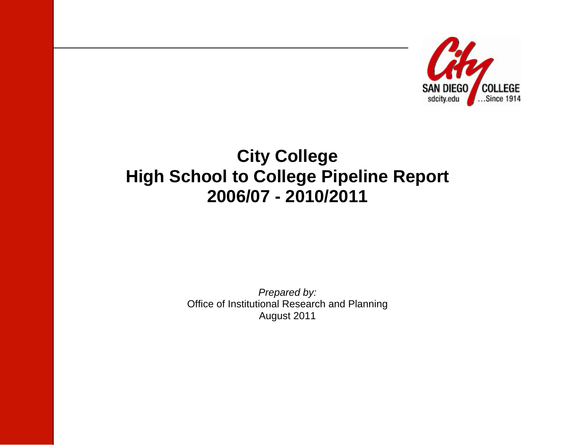

# **City College High School to College Pipeline Report 2006/07 - 2010/2011**

*Prepared by:*  Office of Institutional Research and Planning August 2011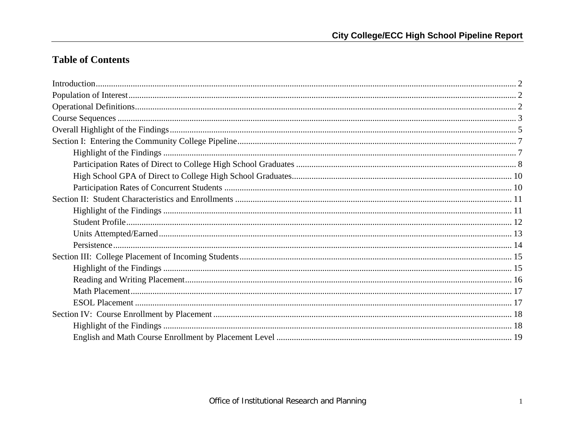# **Table of Contents**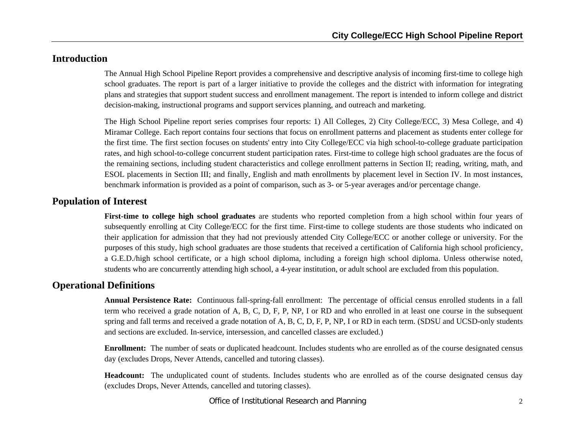# **Introduction**

The Annual High School Pipeline Report provides a comprehensive and descriptive analysis of incoming first-time to college high school graduates. The report is part of a larger initiative to provide the colleges and the district with information for integrating plans and strategies that support student success and enrollment management. The report is intended to inform college and district decision-making, instructional programs and support services planning, and outreach and marketing.

The High School Pipeline report series comprises four reports: 1) All Colleges, 2) City College/ECC, 3) Mesa College, and 4) Miramar College. Each report contains four sections that focus on enrollment patterns and placement as students enter college for the first time. The first section focuses on students' entry into City College/ECC via high school-to-college graduate participation rates, and high school-to-college concurrent student participation rates. First-time to college high school graduates are the focus of the remaining sections, including student characteristics and college enrollment patterns in Section II; reading, writing, math, and ESOL placements in Section III; and finally, English and math enrollments by placement level in Section IV. In most instances, benchmark information is provided as a point of comparison, such as 3- or 5-year averages and/or percentage change.

### **Population of Interest**

**First-time to college high school graduates** are students who reported completion from a high school within four years of subsequently enrolling at City College/ECC for the first time. First-time to college students are those students who indicated on their application for admission that they had not previously attended City College/ECC or another college or university. For the purposes of this study, high school graduates are those students that received a certification of California high school proficiency, a G.E.D./high school certificate, or a high school diploma, including a foreign high school diploma. Unless otherwise noted, students who are concurrently attending high school, a 4-year institution, or adult school are excluded from this population.

# **Operational Definitions**

**Annual Persistence Rate:** Continuous fall-spring-fall enrollment: The percentage of official census enrolled students in a fall term who received a grade notation of A, B, C, D, F, P, NP, I or RD and who enrolled in at least one course in the subsequent spring and fall terms and received a grade notation of A, B, C, D, F, P, NP, I or RD in each term. (SDSU and UCSD-only students and sections are excluded. In-service, intersession, and cancelled classes are excluded.)

**Enrollment:** The number of seats or duplicated headcount. Includes students who are enrolled as of the course designated census day (excludes Drops, Never Attends, cancelled and tutoring classes).

**Headcount:** The unduplicated count of students. Includes students who are enrolled as of the course designated census day (excludes Drops, Never Attends, cancelled and tutoring classes).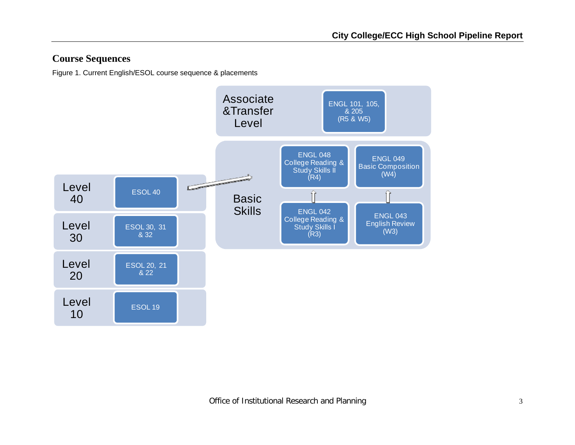# **Course Sequences**

Figure 1. Current English/ESOL course sequence & placements

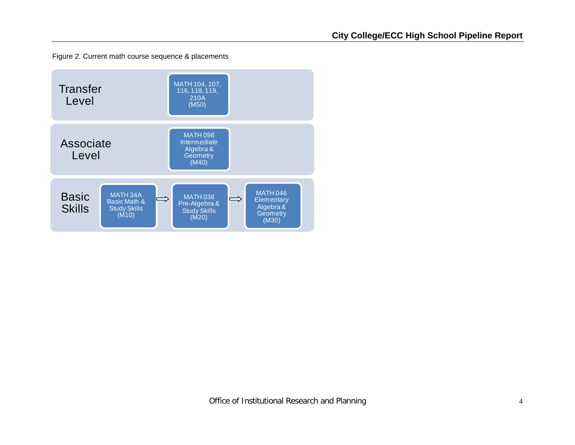Figure 2. Current math course sequence & placements

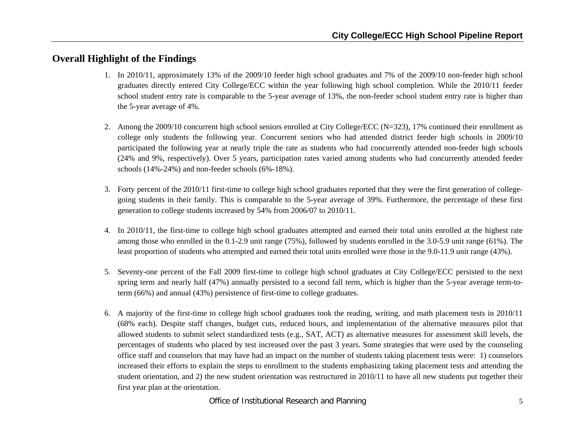# **Overall Highlight of the Findings**

- 1. In 2010/11, approximately 13% of the 2009/10 feeder high school graduates and 7% of the 2009/10 non-feeder high school graduates directly entered City College/ECC within the year following high school completion. While the 2010/11 feeder school student entry rate is comparable to the 5-year average of 13%, the non-feeder school student entry rate is higher than the 5-year average of 4%.
- 2. Among the 2009/10 concurrent high school seniors enrolled at City College/ECC (N=323), 17% continued their enrollment as college only students the following year. Concurrent seniors who had attended district feeder high schools in 2009/10 participated the following year at nearly triple the rate as students who had concurrently attended non-feeder high schools (24% and 9%, respectively). Over 5 years, participation rates varied among students who had concurrently attended feeder schools (14%-24%) and non-feeder schools (6%-18%).
- 3. Forty percent of the 2010/11 first-time to college high school graduates reported that they were the first generation of collegegoing students in their family. This is comparable to the 5-year average of 39%. Furthermore, the percentage of these first generation to college students increased by 54% from 2006/07 to 2010/11.
- 4. In 2010/11, the first-time to college high school graduates attempted and earned their total units enrolled at the highest rate among those who enrolled in the 0.1-2.9 unit range (75%), followed by students enrolled in the 3.0-5.9 unit range (61%). The least proportion of students who attempted and earned their total units enrolled were those in the 9.0-11.9 unit range (43%).
- 5. Seventy-one percent of the Fall 2009 first-time to college high school graduates at City College/ECC persisted to the next spring term and nearly half (47%) annually persisted to a second fall term, which is higher than the 5-year average term-toterm (66%) and annual (43%) persistence of first-time to college graduates.
- 6. A majority of the first-time to college high school graduates took the reading, writing, and math placement tests in 2010/11 (68% each). Despite staff changes, budget cuts, reduced hours, and implementation of the alternative measures pilot that allowed students to submit select standardized tests (e.g., SAT, ACT) as alternative measures for assessment skill levels, the percentages of students who placed by test increased over the past 3 years. Some strategies that were used by the counseling office staff and counselors that may have had an impact on the number of students taking placement tests were: 1) counselors increased their efforts to explain the steps to enrollment to the students emphasizing taking placement tests and attending the student orientation, and 2) the new student orientation was restructured in 2010/11 to have all new students put together their first year plan at the orientation.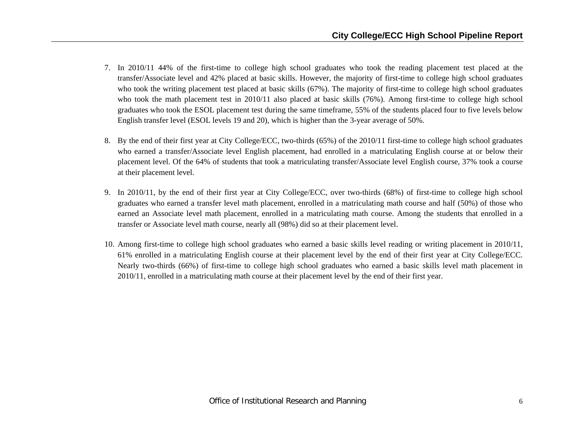- 7. In 2010/11 44% of the first-time to college high school graduates who took the reading placement test placed at the transfer/Associate level and 42% placed at basic skills. However, the majority of first-time to college high school graduates who took the writing placement test placed at basic skills (67%). The majority of first-time to college high school graduates who took the math placement test in 2010/11 also placed at basic skills (76%). Among first-time to college high school graduates who took the ESOL placement test during the same timeframe, 55% of the students placed four to five levels below English transfer level (ESOL levels 19 and 20), which is higher than the 3-year average of 50%.
- 8. By the end of their first year at City College/ECC, two-thirds (65%) of the 2010/11 first-time to college high school graduates who earned a transfer/Associate level English placement, had enrolled in a matriculating English course at or below their placement level. Of the 64% of students that took a matriculating transfer/Associate level English course, 37% took a course at their placement level.
- 9. In 2010/11, by the end of their first year at City College/ECC, over two-thirds (68%) of first-time to college high school graduates who earned a transfer level math placement, enrolled in a matriculating math course and half (50%) of those who earned an Associate level math placement, enrolled in a matriculating math course. Among the students that enrolled in a transfer or Associate level math course, nearly all (98%) did so at their placement level.
- 10. Among first-time to college high school graduates who earned a basic skills level reading or writing placement in 2010/11, 61% enrolled in a matriculating English course at their placement level by the end of their first year at City College/ECC. Nearly two-thirds (66%) of first-time to college high school graduates who earned a basic skills level math placement in 2010/11, enrolled in a matriculating math course at their placement level by the end of their first year.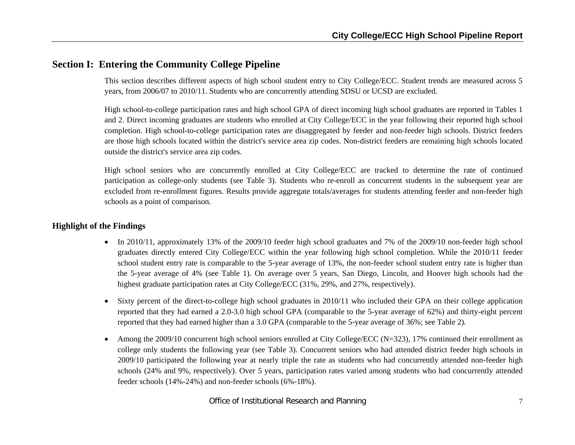# **Section I: Entering the Community College Pipeline**

This section describes different aspects of high school student entry to City College/ECC. Student trends are measured across 5 years, from 2006/07 to 2010/11. Students who are concurrently attending SDSU or UCSD are excluded.

High school-to-college participation rates and high school GPA of direct incoming high school graduates are reported in Tables 1 and 2. Direct incoming graduates are students who enrolled at City College/ECC in the year following their reported high school completion. High school-to-college participation rates are disaggregated by feeder and non-feeder high schools. District feeders are those high schools located within the district's service area zip codes. Non-district feeders are remaining high schools located outside the district's service area zip codes.

High school seniors who are concurrently enrolled at City College/ECC are tracked to determine the rate of continued participation as college-only students (see Table 3). Students who re-enroll as concurrent students in the subsequent year are excluded from re-enrollment figures. Results provide aggregate totals/averages for students attending feeder and non-feeder high schools as a point of comparison.

- In 2010/11, approximately 13% of the 2009/10 feeder high school graduates and 7% of the 2009/10 non-feeder high school graduates directly entered City College/ECC within the year following high school completion. While the 2010/11 feeder school student entry rate is comparable to the 5-year average of 13%, the non-feeder school student entry rate is higher than the 5-year average of 4% (see Table 1). On average over 5 years, San Diego, Lincoln, and Hoover high schools had the highest graduate participation rates at City College/ECC (31%, 29%, and 27%, respectively).
- $\bullet$  Sixty percent of the direct-to-college high school graduates in 2010/11 who included their GPA on their college application reported that they had earned a 2.0-3.0 high school GPA (comparable to the 5-year average of 62%) and thirty-eight percent reported that they had earned higher than a 3.0 GPA (comparable to the 5-year average of 36%; see Table 2).
- 0 Among the 2009/10 concurrent high school seniors enrolled at City College/ECC (N=323), 17% continued their enrollment as college only students the following year (see Table 3). Concurrent seniors who had attended district feeder high schools in 2009/10 participated the following year at nearly triple the rate as students who had concurrently attended non-feeder high schools (24% and 9%, respectively). Over 5 years, participation rates varied among students who had concurrently attended feeder schools (14%-24%) and non-feeder schools (6%-18%).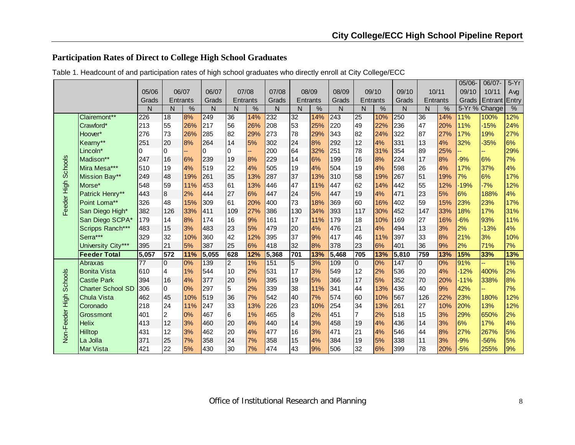# **Participation Rates of Direct to College High School Graduates**

|                 |                          |                |                |                 |                |                 |       |       |                |                 |       |                 |       |       |     |          | 05/06- | 06/07-        | $5-Yr$ |
|-----------------|--------------------------|----------------|----------------|-----------------|----------------|-----------------|-------|-------|----------------|-----------------|-------|-----------------|-------|-------|-----|----------|--------|---------------|--------|
|                 |                          | 05/06          |                | 06/07           | 06/07          |                 | 07/08 | 07/08 |                | 08/09           | 08/09 |                 | 09/10 | 09/10 |     | 10/11    | 09/10  | 10/11         | Avg    |
|                 |                          | Grads          |                | <b>Entrants</b> | Grads          | Entrants        |       | Grads |                | <b>Entrants</b> | Grads | <b>Entrants</b> |       | Grads |     | Entrants | Grads  | Entrant Entry |        |
|                 |                          | N              | N              | $\%$            | N              | N               | $\%$  | N     | N              | %               | N     | N               | %     | N     | N   | %        |        | 5-Yr % Change | %      |
|                 | Clairemont**             | 226            | 18             | 8%              | 249            | 36              | 14%   | 232   | 32             | 14%             | 243   | 25              | 10%   | 250   | 36  | 14%      | 11%    | 100%          | 12%    |
|                 | Crawford*                | 213            | 55             | 26%             | 217            | 56              | 26%   | 208   | 53             | 25%             | 220   | 49              | 22%   | 236   | 47  | 20%      | 11%    | $-15%$        | 24%    |
|                 | Hoover*                  | 276            | 73             | 26%             | 285            | 82              | 29%   | 273   | 78             | 29%             | 343   | 82              | 24%   | 322   | 87  | 27%      | 17%    | 19%           | 27%    |
|                 | Kearny**                 | 251            | 20             | 8%              | 264            | 14              | 5%    | 302   | 24             | 8%              | 292   | 12              | 4%    | 331   | 13  | 4%       | 32%    | $-35%$        | 6%     |
|                 | Lincoln*                 | $\overline{0}$ | 0              | --              | $\overline{0}$ | $\overline{0}$  |       | 200   | 64             | 32%             | 251   | 78              | 31%   | 354   | 89  | 25%      |        |               | 29%    |
|                 | Madison**                | 247            | 16             | 6%              | 239            | 19              | 8%    | 229   | 14             | 6%              | 199   | 16              | 8%    | 224   | 17  | 8%       | $-9%$  | 6%            | 7%     |
| <b>Schools</b>  | Mira Mesa***             | 510            | 19             | 4%              | 519            | 22              | 4%    | 505   | 19             | 4%              | 504   | 19              | 4%    | 598   | 26  | 4%       | 17%    | 37%           | 4%     |
|                 | Mission Bay**            | 249            | 48             | 19%             | 261            | 35              | 13%   | 287   | 37             | 13%             | 310   | 58              | 19%   | 267   | 51  | 19%      | 7%     | 6%            | 17%    |
|                 | Morse*                   | 548            | 59             | 11%             | 453            | 61              | 13%   | 446   | 47             | 11%             | 447   | 62              | 14%   | 442   | 55  | 12%      | $-19%$ | $-7%$         | 12%    |
|                 | Patrick Henry**          | 443            | $\bf{8}$       | 2%              | 444            | 27              | 6%    | 447   | 24             | 5%              | 447   | 19              | 4%    | 471   | 23  | 5%       | 6%     | 188%          | 4%     |
| Feeder High     | Point Loma**             | 326            | 48             | 15%             | 309            | 61              | 20%   | 400   | 73             | 18%             | 369   | 60              | 16%   | 402   | 59  | 15%      | 23%    | 23%           | 17%    |
|                 | San Diego High*          | 382            | 126            | 33%             | 411            | 109             | 27%   | 386   | 130            | 34%             | 393   | 117             | 30%   | 452   | 147 | 33%      | 18%    | 17%           | 31%    |
|                 | San Diego SCPA*          | 179            | 14             | 8%              | 174            | 16              | 9%    | 161   | 17             | 11%             | 179   | 18              | 10%   | 169   | 27  | 16%      | $-6%$  | 93%           | 11%    |
|                 | Scripps Ranch***         | 483            | 15             | 3%              | 483            | 23              | 5%    | 479   | 20             | 4%              | 476   | 21              | 4%    | 494   | 13  | 3%       | 2%     | $-13%$        | 4%     |
|                 | Serra***                 | 329            | 32             | 10%             | 360            | 42              | 12%   | 395   | 37             | 9%              | 417   | 46              | 11%   | 397   | 33  | 8%       | 21%    | 3%            | 10%    |
|                 | University City***       | 395            | 21             | 5%              | 387            | 25              | 6%    | 418   | 32             | 8%              | 378   | 23              | 6%    | 401   | 36  | 9%       | 2%     | 71%           | 7%     |
|                 | <b>Feeder Total</b>      | 5,057          | 572            | 11%             | 5,055          | 628             | 12%   | 5,368 | 701            | 13%             | 5,468 | 705             | 13%   | 5,810 | 759 | 13%      | 15%    | 33%           | 13%    |
|                 | Abraxas                  | 77             | $\overline{0}$ | 0%              | 139            | $\overline{2}$  | 1%    | 151   | $\overline{5}$ | 3%              | 109   | $\overline{0}$  | 0%    | 147   | I0  | 0%       | 91%    | u,            | 1%     |
|                 | <b>Bonita Vista</b>      | 610            | $\overline{a}$ | 1%              | 544            | 10              | 2%    | 531   | 17             | 3%              | 549   | 12              | 2%    | 536   | 20  | 4%       | $-12%$ | 400%          | 2%     |
| Schools         | <b>Castle Park</b>       | 394            | 16             | 4%              | 377            | 20              | 5%    | 395   | 19             | 5%              | 366   | 17              | 5%    | 352   | 70  | 20%      | $-11%$ | 338%          | 8%     |
|                 | <b>Charter School SD</b> | 306            | 0              | 0%              | 297            | 5               | 2%    | 339   | 38             | 11%             | 341   | 44              | 13%   | 436   | 40  | 9%       | 42%    |               | 7%     |
|                 | <b>Chula Vista</b>       | 462            | 45             | 10%             | 519            | 36              | 7%    | 542   | 40             | 7%              | 574   | 60              | 10%   | 567   | 126 | 22%      | 23%    | 180%          | 12%    |
|                 | Coronado                 | 218            | 24             | 11%             | 247            | 33              | 13%   | 226   | 23             | 10%             | 254   | 34              | 13%   | 261   | 27  | 10%      | 20%    | 13%           | 12%    |
|                 | Grossmont                | 401            | $\overline{c}$ | 0%              | 467            | $6\phantom{1}6$ | 1%    | 465   | 8              | 2%              | 451   | $\overline{7}$  | 2%    | 518   | 15  | 3%       | 29%    | 650%          | 2%     |
|                 | <b>Helix</b>             | 413            | 12             | 3%              | 460            | 20              | 4%    | 440   | 14             | 3%              | 458   | 19              | 4%    | 436   | 14  | 3%       | 6%     | 17%           | 4%     |
| Non-Feeder High | Hilltop                  | 431            | 12             | 3%              | 462            | 20              | 4%    | 477   | 16             | 3%              | 471   | 21              | 4%    | 546   | 44  | 8%       | 27%    | 267%          | 5%     |
|                 | La Jolla                 | 371            | 25             | 7%              | 358            | 24              | 7%    | 358   | 15             | 4%              | 384   | 19              | 5%    | 338   | 11  | 3%       | $-9%$  | $-56%$        | 5%     |
|                 | Mar Vista                | 421            | 22             | 5%              | 430            | 30              | 7%    | 474   | 43             | 9%              | 506   | 32              | 6%    | 399   | 78  | 20%      | $-5%$  | 255%          | 9%     |

Table 1. Headcount of and participation rates of high school graduates who directly enroll at City College/ECC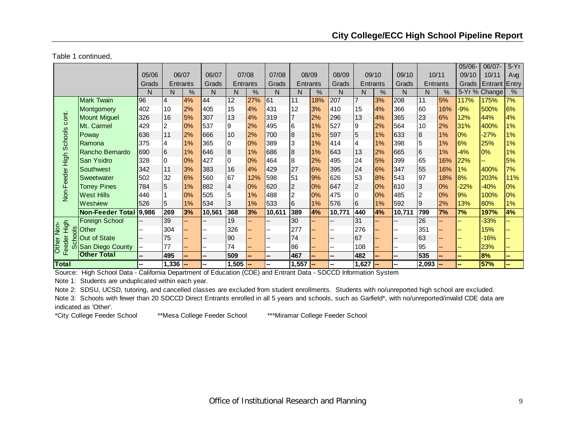Table 1 continued,

|                                |                        |       |                 |       |                          |                |     |                          |                  |       |                          |                |       |        |           |      | $05/06 -$ | 06/07-               | $5-Yr$        |
|--------------------------------|------------------------|-------|-----------------|-------|--------------------------|----------------|-----|--------------------------|------------------|-------|--------------------------|----------------|-------|--------|-----------|------|-----------|----------------------|---------------|
|                                |                        | 05/06 |                 | 06/07 | 06/07                    | 07/08          |     | 07/08                    |                  | 08/09 | 08/09                    |                | 09/10 | 09/10  | 10/11     |      | 09/10     | 10/11                | Avg           |
|                                |                        | Grads | Entrants        |       | Grads                    | Entrants       |     | Grads                    | Entrants         |       | Grads                    | Entrants       |       | Grads  | Entrants  |      | Grads     | <b>Entrant Entry</b> |               |
|                                |                        | N     | N               | %     | N                        | N              | %   | N                        | N                | %     | N                        | N              | %     | N      | N         | $\%$ |           | 5-Yr % Change        | $\frac{0}{2}$ |
|                                | Mark Twain             | 96    | 4               | 4%    | 44                       | 12             | 27% | 61                       | 11               | 18%   | 207                      | $\overline{7}$ | 3%    | 208    | 11        | 5%   | 117%      | 175%                 | 7%            |
|                                | Montgomery             | 402   | 10              | 2%    | 405                      | 15             | 4%  | 431                      | 12               | 3%    | 410                      | 15             | 4%    | 366    | 60        | 16%  | $-9%$     | 500%                 | 6%            |
|                                | <b>Mount Miguel</b>    | 326   | 16              | 5%    | 307                      | 13             | 4%  | 319                      |                  | 2%    | 296                      | 13             | 4%    | 365    | 23        | 6%   | 12%       | 44%                  | 4%            |
|                                | Mt. Carmel             | 429   | 2               | 0%    | 537                      | 9              | 2%  | 495                      | 6                | 1%    | 527                      | 19             | 2%    | 564    | 10        | 2%   | 31%       | 400%                 | 1%            |
|                                | Poway                  | 636   | 11              | 2%    | 666                      | 10             | 2%  | 700                      | $\boldsymbol{8}$ | 1%    | 597                      | 5              | 1%    | 633    | 18        | 1%   | 0%        | $-27%$               | 1%            |
|                                | Ramona                 | 375   | 4               | 1%    | 365                      | 0              | 0%  | 389                      | 3                | 1%    | 414                      | $\overline{4}$ | 1%    | 398    | 5         | 1%   | 6%        | 25%                  | 1%            |
|                                | Rancho Bernardo        | 690   | $6\phantom{.}6$ | 1%    | 646                      | 8              | 1%  | 686                      | 8                | 1%    | 643                      | 13             | 2%    | 665    | 6         | 1%   | $-4%$     | 0%                   | 1%            |
|                                | San Ysidro             | 328   | 0               | 0%    | 427                      | 0              | 0%  | 464                      | 8                | 2%    | 495                      | 24             | 5%    | 399    | 65        | 16%  | 22%       |                      | 5%            |
| Non-Feeder High Schools cont.  | Southwest              | 342   | 11              | 3%    | 383                      | 16             | 4%  | 429                      | 27               | 6%    | 395                      | 24             | 6%    | 347    | 55        | 16%  | 1%        | 400%                 | 7%            |
|                                | Sweetwater             | 502   | 32              | 6%    | 560                      | 67             | 12% | 598                      | 51               | 9%    | 626                      | 53             | 8%    | 543    | 97        | 18%  | 8%        | 203%                 | 11%           |
|                                | <b>Torrey Pines</b>    | 784   | 5               | 1%    | 882                      | $\overline{4}$ | 0%  | 620                      | $\overline{2}$   | 0%    | 647                      | 2              | 0%    | 610    | 3         | 0%   | $-22%$    | $-40%$               | 0%            |
|                                | <b>West Hills</b>      | 446   |                 | 0%    | 505                      | 5              | 1%  | 488                      | $\overline{2}$   | 0%    | 475                      | I0             | 0%    | 485    | 2         | 0%   | 9%        | 100%                 | $0\%$         |
|                                | Westview               | 526   | 5               | 1%    | 534                      | 3              | 1%  | 533                      | 6                | 1%    | 576                      | 6              | 1%    | 592    | 9         | 2%   | 13%       | 80%                  | 1%            |
|                                | Non-Feeder Total 9,986 |       | 269             | 3%    | 10,561                   | 368            | 3%  | 10,611                   | 389              | 4%    | 10,771                   | 440            | 4%    | 10,711 | 799       | 7%   | 7%        | 197%                 | 4%            |
|                                | <b>Foreign School</b>  |       | 39              |       |                          | 19             |     |                          | 30               |       |                          | 31             |       |        | 26        |      |           | $-33%$               |               |
| High<br>Non-<br>$\frac{8}{10}$ | Other                  |       | 304             |       |                          | 326            |     |                          | 277              |       |                          | 276            |       |        | 351       |      |           | 15%                  |               |
|                                | <b>Out of State</b>    |       | 75              |       | --                       | 90             |     |                          | 74               |       | --                       | 67             |       | --     | 63        |      |           | $-16%$               |               |
| eeder<br><b>Other</b>          | ທိ San Diego County    | --    | 77              |       | --                       | 74             |     | --                       | 86               |       | --                       | 108            |       | --     | 95        |      |           | 23%                  |               |
| ш                              | <b>Other Total</b>     | --    | 495             |       | $\overline{\phantom{a}}$ | 509            |     | $\overline{a}$           | 467              |       | --                       | 482            |       | --     | 535       |      |           | 8%                   | --            |
| <b>Total</b>                   |                        |       | $1,336$ -       |       | --                       | $1,505$ -      |     | $\overline{\phantom{a}}$ | 1,557            |       | $\overline{\phantom{a}}$ | $1,627$ -      |       |        | $2,093$ - |      |           | 57%                  |               |

Source: High School Data - California Department of Education (CDE) and Entrant Data - SDCCD Information System

Note 1: Students are unduplicated within each year.

Note 2: SDSU, UCSD, tutoring, and cancelled classes are excluded from student enrollments. Students with no/unreported high school are excluded.

Note 3: Schools with fewer than 20 SDCCD Direct Entrants enrolled in all 5 years and schools, such as Garfield\*, with no/unreported/invalid CDE data are indicated as 'Other'.

\*City College Feeder School \*\*Mesa College Feeder School \*\*\*Miramar College Feeder School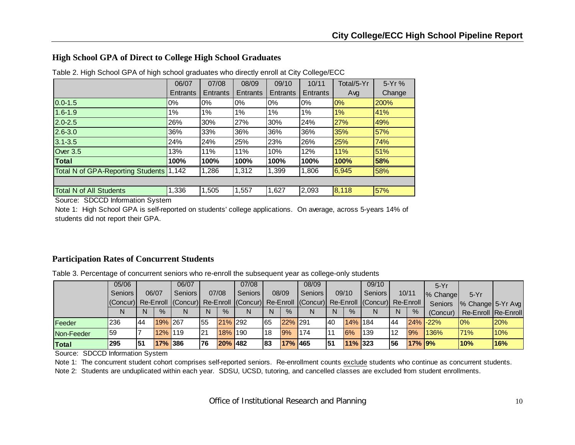### **High School GPA of Direct to College High School Graduates**

|                                          | 06/07    | 07/08           | 08/09           | 09/10           | 10/11           | Total/5-Yr | 5-Yr%  |
|------------------------------------------|----------|-----------------|-----------------|-----------------|-----------------|------------|--------|
|                                          | Entrants | <b>Entrants</b> | <b>Entrants</b> | <b>Entrants</b> | <b>Entrants</b> | Avg        | Change |
| $0.0 - 1.5$                              | $0\%$    | $0\%$           | 0%              | $0\%$           | 0%              | 0%         | 200%   |
| $1.6 - 1.9$                              | $1\%$    | 1%              | 1%              | 1%              | 1%              | 1%         | 41%    |
| $2.0 - 2.5$                              | 26%      | 30%             | 27%             | 30%             | 24%             | 27%        | 49%    |
| $2.6 - 3.0$                              | 36%      | 33%             | 36%             | 36%             | 36%             | 35%        | 57%    |
| $3.1 - 3.5$                              | 24%      | 24%             | 25%             | 23%             | 26%             | 25%        | 74%    |
| Over 3.5                                 | 13%      | 11%             | 11%             | 10%             | 12%             | 11%        | 51%    |
| Total                                    | 100%     | 100%            | 100%            | 100%            | 100%            | 100%       | 58%    |
| <b>Total N of GPA-Reporting Students</b> | 1,142    | 1,286           | 1,312           | 1,399           | 1,806           | 6,945      | 58%    |
|                                          |          |                 |                 |                 |                 |            |        |
| <b>Total N of All Students</b>           | 1,336    | 1,505           | 1,557           | 1,627           | 2,093           | 8,118      | 57%    |

Table 2. High School GPA of high school graduates who directly enroll at City College/ECC

Source: SDCCD Information System

Note 1: High School GPA is self-reported on students' college applications. On average, across 5-years 14% of students did not report their GPA.

#### **Participation Rates of Concurrent Students**

Table 3. Percentage of concurrent seniors who re-enroll the subsequent year as college-only students

|            | 05/06                                                                                                       |    |         | 06/07          |           |               | 07/08          |              |         | 08/09   |    |               | 09/10     |       |               | $5-Yr$      |                     |      |
|------------|-------------------------------------------------------------------------------------------------------------|----|---------|----------------|-----------|---------------|----------------|--------------|---------|---------|----|---------------|-----------|-------|---------------|-------------|---------------------|------|
|            | <b>Seniors</b>                                                                                              |    | 06/07   | <b>Seniors</b> |           | 07/08         | <b>Seniors</b> |              | 08/09   | Seniors |    | 09/10         | Seniors I | 10/11 |               | % Change    | $5-Yr$              |      |
|            | (Concur)  Re-Enroll   (Concur)  Re-Enroll   (Concur)  Re-Enroll   (Concur)  Re-Enroll   (Concur)  Re-Enroll |    |         |                |           |               |                |              |         |         |    |               |           |       |               | Seniors     | % Change 5-Yr Avg   |      |
|            |                                                                                                             |    | $\%$    |                | N         | $\frac{9}{6}$ |                | <sup>N</sup> | $\%$    | N       | N  | $\frac{9}{6}$ | N         | N     | $\%$          | (Concur)    | Re-Enroll Re-Enroll |      |
| Feeder     | 236                                                                                                         | 44 | 19% 267 |                | 55        | 21% 292       |                | 165          | 22% 291 |         | 40 | 14% 184       |           | 44    |               | $24\%$ -22% | $0\%$               | 120% |
| Non-Feeder | 159                                                                                                         |    | 12% 119 |                | <b>21</b> | 18% 190       |                | 18           | 9%      | 174     | 11 | 6%            | 139       | l 12  | 9%            | <b>136%</b> | 71%                 | 10%  |
| Total      | 295                                                                                                         | 51 | 17% 386 |                | 76        | 20% 482       |                | 183          | 17% 465 |         | 51 | 11% 323       |           | 56    | <b>17% 9%</b> |             | 10%                 | 16%  |

Source: SDCCD Information System

Note 1: The concurrent student cohort comprises self-reported seniors. Re-enrollment counts exclude students who continue as concurrent students.

Note 2: Students are unduplicated within each year. SDSU, UCSD, tutoring, and cancelled classes are excluded from student enrollments.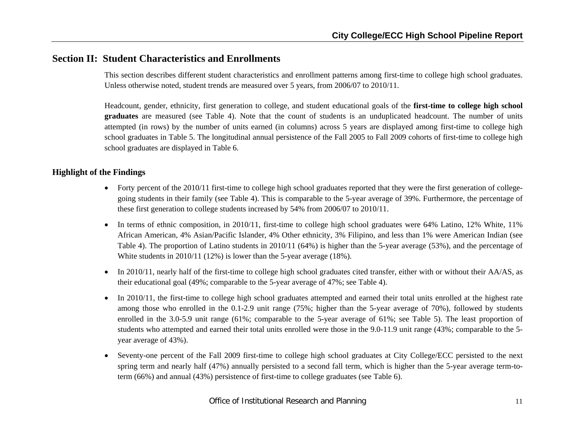# **Section II: Student Characteristics and Enrollments**

This section describes different student characteristics and enrollment patterns among first-time to college high school graduates. Unless otherwise noted, student trends are measured over 5 years, from 2006/07 to 2010/11.

Headcount, gender, ethnicity, first generation to college, and student educational goals of the **first-time to college high school graduates** are measured (see Table 4). Note that the count of students is an unduplicated headcount. The number of units attempted (in rows) by the number of units earned (in columns) across 5 years are displayed among first-time to college high school graduates in Table 5. The longitudinal annual persistence of the Fall 2005 to Fall 2009 cohorts of first-time to college high school graduates are displayed in Table 6.

- Forty percent of the 2010/11 first-time to college high school graduates reported that they were the first generation of collegegoing students in their family (see Table 4). This is comparable to the 5-year average of 39%. Furthermore, the percentage of these first generation to college students increased by 54% from 2006/07 to 2010/11.
- In terms of ethnic composition, in 2010/11, first-time to college high school graduates were 64% Latino, 12% White, 11% African American, 4% Asian/Pacific Islander, 4% Other ethnicity, 3% Filipino, and less than 1% were American Indian (see Table 4). The proportion of Latino students in 2010/11 (64%) is higher than the 5-year average (53%), and the percentage of White students in 2010/11 (12%) is lower than the 5-year average (18%).
- In 2010/11, nearly half of the first-time to college high school graduates cited transfer, either with or without their  $AA/AS$ , as their educational goal (49%; comparable to the 5-year average of 47%; see Table 4).
- 0 In 2010/11, the first-time to college high school graduates attempted and earned their total units enrolled at the highest rate among those who enrolled in the 0.1-2.9 unit range (75%; higher than the 5-year average of 70%), followed by students enrolled in the 3.0-5.9 unit range (61%; comparable to the 5-year average of 61%; see Table 5). The least proportion of students who attempted and earned their total units enrolled were those in the 9.0-11.9 unit range (43%; comparable to the 5 year average of 43%).
- Seventy-one percent of the Fall 2009 first-time to college high school graduates at City College/ECC persisted to the next spring term and nearly half (47%) annually persisted to a second fall term, which is higher than the 5-year average term-toterm (66%) and annual (43%) persistence of first-time to college graduates (see Table 6).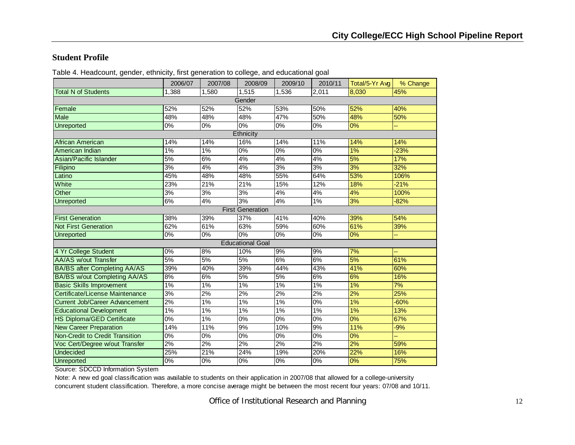#### **Student Profile**

|                                       | 2006/07 | 2007/08 | 2008/09                 | 2009/10 | 2010/11 | Total/5-Yr Avg | % Change |
|---------------------------------------|---------|---------|-------------------------|---------|---------|----------------|----------|
| <b>Total N of Students</b>            | 1,388   | 1,580   | 1,515                   | 1,536   | 2,011   | 8,030          | 45%      |
|                                       |         |         | Gender                  |         |         |                |          |
| Female                                | 52%     | 52%     | 52%                     | 53%     | 50%     | 52%            | 40%      |
| Male                                  | 48%     | 48%     | 48%                     | 47%     | 50%     | 48%            | 50%      |
| <b>Unreported</b>                     | 0%      | 0%      | 0%                      | 0%      | 0%      | 0%             | u,       |
|                                       |         |         | Ethnicity               |         |         |                |          |
| African American                      | 14%     | 14%     | 16%                     | 14%     | 11%     | 14%            | 14%      |
| American Indian                       | 1%      | 1%      | 0%                      | 0%      | $0\%$   | 1%             | $-23%$   |
| Asian/Pacific Islander                | 5%      | 6%      | 4%                      | 4%      | 4%      | 5%             | 17%      |
| Filipino                              | 3%      | 4%      | 4%                      | 3%      | 3%      | 3%             | 32%      |
| Latino                                | 45%     | 48%     | 48%                     | 55%     | 64%     | 53%            | 106%     |
| White                                 | 23%     | 21%     | 21%                     | 15%     | 12%     | 18%            | $-21%$   |
| Other                                 | 3%      | 3%      | 3%                      | 4%      | 4%      | 4%             | 100%     |
| <b>Unreported</b>                     | 6%      | 4%      | 3%                      | 4%      | 1%      | 3%             | $-82%$   |
|                                       |         |         | <b>First Generation</b> |         |         |                |          |
| <b>First Generation</b>               | 38%     | 39%     | 37%                     | 41%     | 40%     | 39%            | 54%      |
| <b>Not First Generation</b>           | 62%     | 61%     | 63%                     | 59%     | 60%     | 61%            | 39%      |
| Unreported                            | $0\%$   | 0%      | $0\%$                   | $0\%$   | $0\%$   | 0%             | н,       |
|                                       |         |         | <b>Educational Goal</b> |         |         |                |          |
| 4 Yr College Student                  | 0%      | 8%      | 10%                     | 9%      | 9%      | 7%             | ц,       |
| <b>AA/AS w/out Transfer</b>           | 5%      | 5%      | 5%                      | 6%      | 6%      | 5%             | 61%      |
| <b>BA/BS after Completing AA/AS</b>   | 39%     | 40%     | 39%                     | 44%     | 43%     | 41%            | 60%      |
| <b>BA/BS w/out Completing AA/AS</b>   | 8%      | 6%      | 5%                      | 5%      | 6%      | 6%             | 16%      |
| <b>Basic Skills Improvement</b>       | 1%      | 1%      | 1%                      | 1%      | 1%      | 1%             | 7%       |
| Certificate/License Maintenance       | 3%      | 2%      | 2%                      | 2%      | 2%      | 2%             | 25%      |
| <b>Current Job/Career Advancement</b> | 2%      | 1%      | 1%                      | $1\%$   | 0%      | 1%             | $-60%$   |
| <b>Educational Development</b>        | $1\%$   | 1%      | 1%                      | 1%      | 1%      | 1%             | 13%      |
| <b>HS Diploma/GED Certificate</b>     | $0\%$   | 1%      | $0\%$                   | $0\%$   | 0%      | 0%             | 67%      |
| <b>New Career Preparation</b>         | 14%     | 11%     | 9%                      | 10%     | 9%      | 11%            | $-9%$    |
| Non-Credit to Credit Transition       | $0\%$   | 0%      | $0\%$                   | $0\%$   | 0%      | 0%             | ц,       |
| Voc Cert/Degree w/out Transfer        | 2%      | 2%      | 2%                      | 2%      | 2%      | 2%             | 59%      |
| <b>Undecided</b>                      | 25%     | 21%     | 24%                     | 19%     | 20%     | 22%            | 16%      |
| <b>Unreported</b>                     | 0%      | 0%      | 0%                      | 0%      | 0%      | 0%             | 75%      |

Table 4. Headcount, gender, ethnicity, first generation to college, and educational goal

Source: SDCCD Information System

Note: A new ed goal classification was available to students on their application in 2007/08 that allowed for a college-university concurrent student classification. Therefore, a more concise average might be between the most recent four years: 07/08 and 10/11.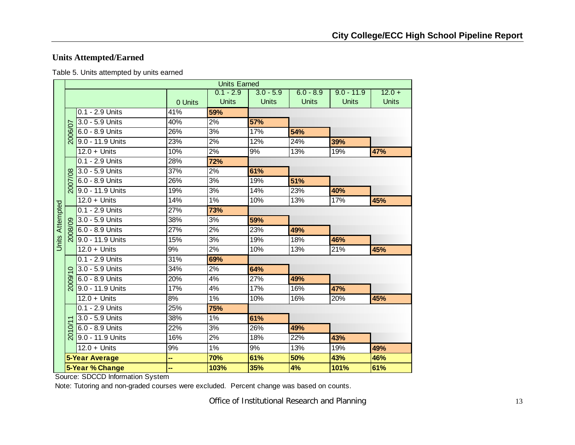# **Units Attempted/Earned**

Table 5. Units attempted by units earned

|                        |         |                       |                  | <b>Units Earned</b> |              |              |              |              |
|------------------------|---------|-----------------------|------------------|---------------------|--------------|--------------|--------------|--------------|
|                        |         |                       |                  | $0.1 - 2.9$         | $3.0 - 5.9$  | $6.0 - 8.9$  | $9.0 - 11.9$ | $12.0 +$     |
|                        |         |                       | 0 Units          | <b>Units</b>        | <b>Units</b> | <b>Units</b> | <b>Units</b> | <b>Units</b> |
|                        |         | 0.1 - 2.9 Units       | 41%              | 59%                 |              |              |              |              |
|                        |         | 3.0 - 5.9 Units       | 40%              | 2%                  | 57%          |              |              |              |
|                        | 2006/07 | 6.0 - 8.9 Units       | 26%              | 3%                  | 17%          | 54%          |              |              |
|                        |         | 9.0 - 11.9 Units      | 23%              | 2%                  | 12%          | 24%          | 39%          |              |
|                        |         | $12.0 +$ Units        | 10%              | 2%                  | 9%           | 13%          | 19%          | 47%          |
|                        |         | $0.1 - 2.9$ Units     | 28%              | 72%                 |              |              |              |              |
|                        |         | 3.0 - 5.9 Units       | 37%              | 2%                  | 61%          |              |              |              |
|                        | 2007/08 | 6.0 - 8.9 Units       | $\frac{1}{26}$ % | $\overline{3\%}$    | 19%          | 51%          |              |              |
|                        |         | $9.0 - 11.9$ Units    | 19%              | 3%                  | 14%          | 23%          | 40%          |              |
|                        |         | $12.0 +$ Units        | 14%              | $1\%$               | 10%          | 13%          | 17%          | 45%          |
| <b>Units Attempted</b> |         | 0.1 - 2.9 Units       | 27%              | 73%                 |              |              |              |              |
|                        |         | 3.0 - 5.9 Units       | 38%              | 3%                  | 59%          |              |              |              |
|                        | ନ୍ଧି    | 6.0 - 8.9 Units       | 27%              | 2%                  | 23%          | 49%          |              |              |
|                        |         | 9.0 - 11.9 Units      | 15%              | 3%                  | 19%          | 18%          | 46%          |              |
|                        |         | $12.0 +$ Units        | 9%               | 2%                  | 10%          | 13%          | 21%          | 45%          |
|                        |         | $0.1 - 2.9$ Units     | 31%              | 69%                 |              |              |              |              |
|                        | $\circ$ | 3.0 - 5.9 Units       | 34%              | 2%                  | 64%          |              |              |              |
|                        | 2009/   | 6.0 - 8.9 Units       | 20%              | 4%                  | 27%          | 49%          |              |              |
|                        |         | 9.0 - 11.9 Units      | 17%              | 4%                  | 17%          | 16%          | 47%          |              |
|                        |         | $12.0 +$ Units        | 8%               | $1\%$               | 10%          | 16%          | 20%          | 45%          |
|                        |         | 0.1 - 2.9 Units       | 25%              | 75%                 |              |              |              |              |
|                        |         | 3.0 - 5.9 Units       | 38%              | 1%                  | 61%          |              |              |              |
|                        | 2010/   | 6.0 - 8.9 Units       | 22%              | 3%                  | 26%          | 49%          |              |              |
|                        |         | 9.0 - 11.9 Units      | 16%              | 2%                  | 18%          | 22%          | 43%          |              |
|                        |         | $12.0 +$ Units        | 9%               | 1%                  | 9%           | 13%          | 19%          | 49%          |
|                        |         | <b>5-Year Average</b> | --               | 70%                 | 61%          | 50%          | 43%          | 46%          |
|                        |         | 5-Year % Change       |                  | 103%                | 35%          | 4%           | 101%         | 61%          |

Source: SDCCD Information System

Note: Tutoring and non-graded courses were excluded. Percent change was based on counts.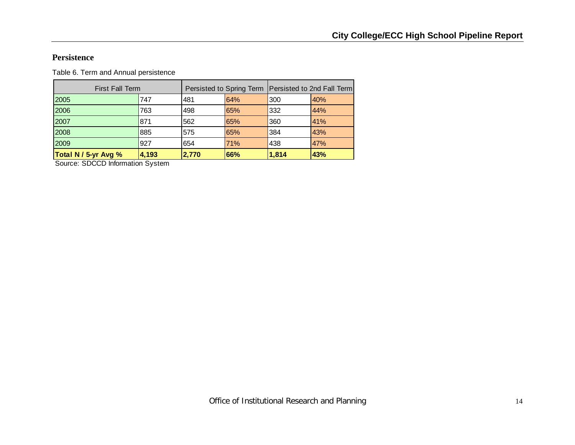#### **Persistence**

Table 6. Term and Annual persistence

| Total N / 5-yr Avg %   | 4,193 | 2,770 | 66%                                                   | 1,814 | 43% |
|------------------------|-------|-------|-------------------------------------------------------|-------|-----|
| 2009                   | 927   | 654   | 71%                                                   | 438   | 47% |
| 2008                   | 885   | 575   | 65%                                                   | 384   | 43% |
| 2007                   | 871   | 562   | 65%                                                   | 360   | 41% |
| 2006                   | 763   | 498   | 65%                                                   | 332   | 44% |
| 2005                   | 747   | 481   | 64%                                                   | 300   | 40% |
| <b>First Fall Term</b> |       |       | Persisted to Spring Term   Persisted to 2nd Fall Term |       |     |

Source: SDCCD Information System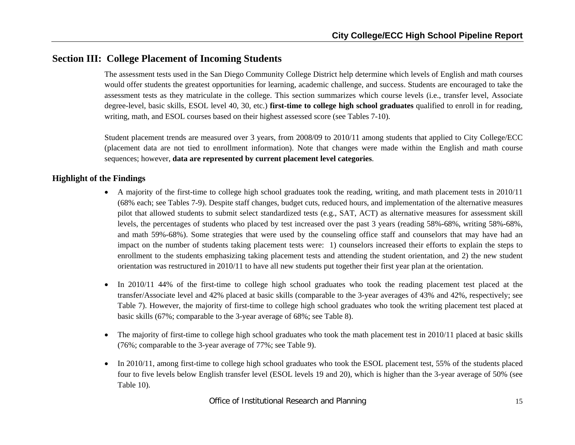# **Section III: College Placement of Incoming Students**

The assessment tests used in the San Diego Community College District help determine which levels of English and math courses would offer students the greatest opportunities for learning, academic challenge, and success. Students are encouraged to take the assessment tests as they matriculate in the college. This section summarizes which course levels (i.e., transfer level, Associate degree-level, basic skills, ESOL level 40, 30, etc.) **first-time to college high school graduates** qualified to enroll in for reading, writing, math, and ESOL courses based on their highest assessed score (see Tables 7-10).

Student placement trends are measured over 3 years, from 2008/09 to 2010/11 among students that applied to City College/ECC (placement data are not tied to enrollment information). Note that changes were made within the English and math course sequences; however, **data are represented by current placement level categories**.

- A majority of the first-time to college high school graduates took the reading, writing, and math placement tests in 2010/11 (68% each; see Tables 7-9). Despite staff changes, budget cuts, reduced hours, and implementation of the alternative measures pilot that allowed students to submit select standardized tests (e.g., SAT, ACT) as alternative measures for assessment skill levels, the percentages of students who placed by test increased over the past 3 years (reading 58%-68%, writing 58%-68%, and math 59%-68%). Some strategies that were used by the counseling office staff and counselors that may have had an impact on the number of students taking placement tests were: 1) counselors increased their efforts to explain the steps to enrollment to the students emphasizing taking placement tests and attending the student orientation, and 2) the new student orientation was restructured in 2010/11 to have all new students put together their first year plan at the orientation.
- $\bullet$  In 2010/11 44% of the first-time to college high school graduates who took the reading placement test placed at the transfer/Associate level and 42% placed at basic skills (comparable to the 3-year averages of 43% and 42%, respectively; see Table 7). However, the majority of first-time to college high school graduates who took the writing placement test placed at basic skills (67%; comparable to the 3-year average of 68%; see Table 8).
- $\bullet$  The majority of first-time to college high school graduates who took the math placement test in 2010/11 placed at basic skills (76%; comparable to the 3-year average of 77%; see Table 9).
- $\bullet$  In 2010/11, among first-time to college high school graduates who took the ESOL placement test, 55% of the students placed four to five levels below English transfer level (ESOL levels 19 and 20), which is higher than the 3-year average of 50% (see Table 10).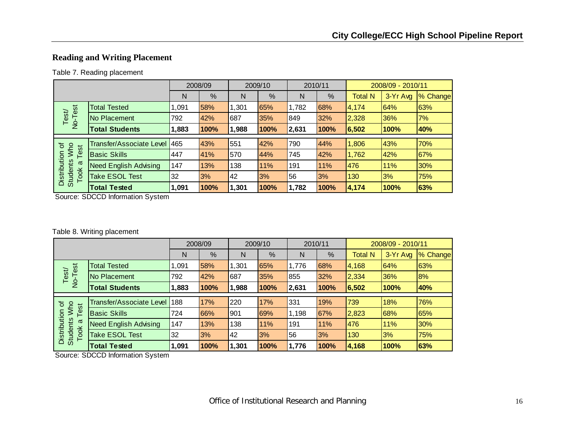# **Reading and Writing Placement**

#### Table 7. Reading placement

|                                         |                                 |       | 2008/09 |       | 2009/10 |       | 2010/11 |                | 2008/09 - 2010/11 |          |
|-----------------------------------------|---------------------------------|-------|---------|-------|---------|-------|---------|----------------|-------------------|----------|
|                                         |                                 | N     | %       | N     | %       | N     | %       | <b>Total N</b> | 3-Yr Avg          | % Change |
|                                         | <b>Total Tested</b>             | 1.091 | 58%     | 1,301 | 65%     | 1,782 | 68%     | 4,174          | 64%               | 63%      |
| No-Test<br>Test/                        | No Placement                    | 792   | 42%     | 687   | 35%     | 849   | 32%     | 2,328          | 36%               | 7%       |
|                                         | <b>Total Students</b>           | 1,883 | 100%    | 1,988 | 100%    | 2,631 | 100%    | 6,502          | 100%              | 40%      |
|                                         |                                 |       |         |       |         |       |         |                |                   |          |
| Who<br>৳<br>est                         | <b>Transfer/Associate Level</b> | 465   | 43%     | 551   | 42%     | 790   | 44%     | 1,806          | 43%               | 70%      |
|                                         | <b>Basic Skills</b>             | 447   | 41%     | 570   | 44%     | 745   | 42%     | 1,762          | 42%               | 67%      |
| σ                                       | <b>Need English Advising</b>    | 147   | 13%     | 138   | 11%     | 191   | 11%     | 476            | 11%               | 30%      |
| Distribution<br><b>Students</b><br>Took | <b>Take ESOL Test</b>           | 32    | 3%      | 42    | 3%      | 56    | 3%      | 130            | 3%                | 75%      |
|                                         | <b>Total Tested</b>             | 1,091 | 100%    | 1,301 | 100%    | 1,782 | 100%    | 4,174          | 100%              | 63%      |

Source: SDCCD Information System

#### Table 8. Writing placement

|                                         |                                |       | 2008/09 |       | 2009/10 |       | 2010/11 |                | 2008/09 - 2010/11 |          |
|-----------------------------------------|--------------------------------|-------|---------|-------|---------|-------|---------|----------------|-------------------|----------|
|                                         |                                | N     | %       | N     | %       | N     | %       | <b>Total N</b> | 3-Yr Avg          | % Change |
|                                         | <b>Total Tested</b>            | 091.ا | 58%     | 1,301 | 65%     | 1.776 | 68%     | 4,168          | 64%               | 63%      |
| No-Test<br>Test                         | No Placement                   | 792   | 42%     | 687   | 35%     | 855   | 32%     | 2,334          | 36%               | 8%       |
|                                         | <b>Total Students</b>          | 1,883 | 100%    | 1,988 | 100%    | 2,631 | 100%    | 6,502          | 100%              | 40%      |
| ৳                                       | Transfer/Associate Level   188 |       | 17%     | 220   | 17%     | 331   | 19%     | 739            | 18%               | 76%      |
| <b>MW</b><br>Test                       | <b>Basic Skills</b>            | 724   | 66%     | 901   | 69%     | 1,198 | 67%     | 2,823          | 68%               | 65%      |
| σ                                       | <b>Need English Advising</b>   | 147   | 13%     | 138   | 11%     | 191   | 11%     | 476            | 11%               | 30%      |
| Distribution<br><b>Students</b><br>Took | <b>Take ESOL Test</b>          | 32    | 3%      | 42    | 3%      | 56    | 3%      | 130            | 3%                | 75%      |
|                                         | <b>Total Tested</b>            | 1,091 | 100%    | 1,301 | 100%    | 1,776 | 100%    | 4,168          | 100%              | 63%      |

Source: SDCCD Information System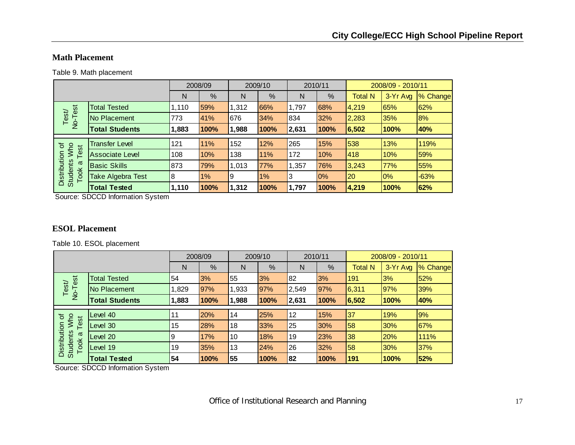#### **Math Placement**

Table 9. Math placement

|                                                |                        |       | 2008/09 |       | 2009/10 | 2010/11 |       |              | 2008/09 - 2010/11 |          |
|------------------------------------------------|------------------------|-------|---------|-------|---------|---------|-------|--------------|-------------------|----------|
|                                                |                        | N     | %       | N     | %       | N       | %     | Total N      | 3-Yr Avg          | % Change |
| est                                            | <b>Total Tested</b>    | 1,110 | 59%     | 1,312 | 66%     | 1,797   | 68%   | 4,219        | 65%               | 62%      |
| Test/<br>$\overline{P}$                        | No Placement           | 773   | 41%     | 676   | 34%     | 834     | 32%   | 2,283        | 35%               | 8%       |
|                                                | <b>Total Students</b>  | 1,883 | 100%    | 1,988 | 100%    | 2,631   | 100%  | 6,502        | 100%              | 40%      |
|                                                |                        |       |         |       |         |         |       |              |                   |          |
| Who<br>৳<br>est                                | <b>Transfer Level</b>  | 121   | 11%     | 152   | 12%     | 265     | 15%   | 538          | 13%               | 119%     |
|                                                | <b>Associate Level</b> | 108   | 10%     | 138   | 11%     | 172     | 10%   | 418          | 10%               | 59%      |
| σ                                              | <b>Basic Skills</b>    | 873   | 79%     | 1,013 | 77%     | 1,357   | 76%   | 3,243        | 77%               | 55%      |
| Distribution<br><b>Students</b><br><b>Took</b> | Take Algebra Test      | 8     | 1%      | ۱9    | 1%      | 3       | $0\%$ | $ 20\rangle$ | $0\%$             | $-63%$   |
|                                                | <b>Total Tested</b>    | 1,110 | 100%    | 1,312 | 100%    | 1,797   | 100%  | 4,219        | 100%              | 62%      |

Source: SDCCD Information System

#### **ESOL Placement**

Table 10. ESOL placement

|                                         |                       |       | 2008/09 |       | 2009/10 |       | 2010/11 |                | 2008/09 - 2010/11 |          |
|-----------------------------------------|-----------------------|-------|---------|-------|---------|-------|---------|----------------|-------------------|----------|
|                                         |                       | N     | %       | N     | %       | N     | %       | <b>Total N</b> | 3-Yr Avg          | % Change |
|                                         | <b>Total Tested</b>   | 54    | 3%      | 55    | 3%      | 82    | 3%      | 191            | 3%                | 52%      |
| No-Test<br>Test/                        | No Placement          | ,829  | 97%     | 1,933 | 97%     | 2,549 | 97%     | 6,311          | 97%               | 39%      |
|                                         | <b>Total Students</b> | 1,883 | 100%    | 1,988 | 100%    | 2,631 | 100%    | 6,502          | 100%              | 40%      |
|                                         | Level 40              |       | 20%     | 14    | 25%     | 12    | 15%     | 37             | 19%               | 9%       |
| <b>MW</b><br>৳                          |                       |       |         |       |         |       |         |                |                   |          |
| Test                                    | Level 30              | 15    | 28%     | 18    | 33%     | 25    | 30%     | 58             | 30%               | 67%      |
| σ                                       | Level 20              | Ι9    | 17%     | 10    | 18%     | 19    | 23%     | 38             | 20%               | 111%     |
| Distribution<br><b>Students</b><br>Took | Level 19              | 19    | 35%     | 13    | 24%     | 26    | 32%     | 58             | 30%               | 37%      |
|                                         | <b>Total Tested</b>   | 54    | 100%    | 55    | 100%    | 82    | 100%    | 191            | 100%              | 52%      |

Source: SDCCD Information System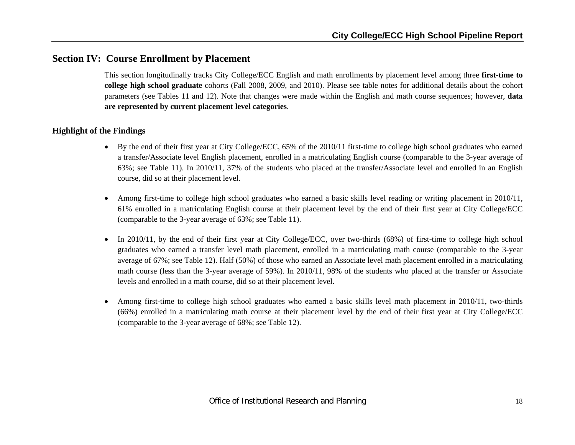# **Section IV: Course Enrollment by Placement**

This section longitudinally tracks City College/ECC English and math enrollments by placement level among three **first-time to college high school graduate** cohorts (Fall 2008, 2009, and 2010). Please see table notes for additional details about the cohort parameters (see Tables 11 and 12). Note that changes were made within the English and math course sequences; however, **data are represented by current placement level categories**.

- By the end of their first year at City College/ECC, 65% of the 2010/11 first-time to college high school graduates who earned a transfer/Associate level English placement, enrolled in a matriculating English course (comparable to the 3-year average of 63%; see Table 11). In 2010/11, 37% of the students who placed at the transfer/Associate level and enrolled in an English course, did so at their placement level.
- 6 Among first-time to college high school graduates who earned a basic skills level reading or writing placement in 2010/11, 61% enrolled in a matriculating English course at their placement level by the end of their first year at City College/ECC (comparable to the 3-year average of 63%; see Table 11).
- $\bullet$  In 2010/11, by the end of their first year at City College/ECC, over two-thirds (68%) of first-time to college high school graduates who earned a transfer level math placement, enrolled in a matriculating math course (comparable to the 3-year average of 67%; see Table 12). Half (50%) of those who earned an Associate level math placement enrolled in a matriculating math course (less than the 3-year average of 59%). In 2010/11, 98% of the students who placed at the transfer or Associate levels and enrolled in a math course, did so at their placement level.
- c Among first-time to college high school graduates who earned a basic skills level math placement in 2010/11, two-thirds (66%) enrolled in a matriculating math course at their placement level by the end of their first year at City College/ECC (comparable to the 3-year average of 68%; see Table 12).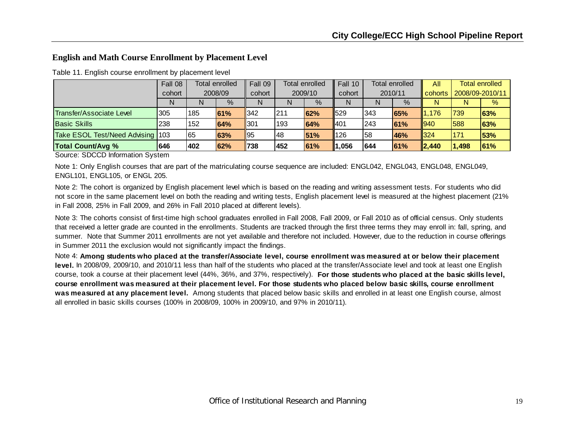#### **English and Math Course Enrollment by Placement Level**

|                                  | Fall 08 | Total enrolled<br>2008/09 |      | Fall 09 | Total enrolled |               | Fall 10 | <b>Total enrolled</b> |      | All            | <b>Total enrolled</b> |      |
|----------------------------------|---------|---------------------------|------|---------|----------------|---------------|---------|-----------------------|------|----------------|-----------------------|------|
|                                  | cohort  |                           |      | cohort  | 2009/10        |               | cohort  | 2010/11               |      | <b>cohorts</b> | 2008/09-2010/11       |      |
|                                  | N       | N                         | $\%$ | N       |                | $\frac{9}{6}$ | N       | N                     | $\%$ | N              | N                     | $\%$ |
| <b>Transfer/Associate Level</b>  | '305    | 185                       | 61%  | 342     | 1211           | 62%           | 529     | 343                   | 65%  | 1,176          | 739                   | 63%  |
| <b>Basic Skills</b>              | 238     | 152                       | 64%  | 301     | 193            | 64%           | II401   | 243                   | 61%  | 940            | 588                   | 63%  |
| Take ESOL Test/Need Advising 103 |         | 65                        | 63%  | ∥95     | 48             | 51%           | 126     | 158                   | 46%  | 324            | 171                   | 53%  |
| <b>Total Count/Avg %</b>         | 646     | 402                       | 62%  | 1738    | 452            | 61%           | 1,056   | 644                   | 61%  | $\ 2,440\ $    | 1,498                 | 61%  |

Table 11. English course enrollment by placement level

Source: SDCCD Information System

Note 1: Only English courses that are part of the matriculating course sequence are included: ENGL042, ENGL043, ENGL048, ENGL049, ENGL101, ENGL105, or ENGL 205.

Note 2: The cohort is organized by English placement level which is based on the reading and writing assessment tests. For students who did not score in the same placement level on both the reading and writing tests, English placement level is measured at the highest placement (21% in Fall 2008, 25% in Fall 2009, and 26% in Fall 2010 placed at different levels).

Note 3: The cohorts consist of first-time high school graduates enrolled in Fall 2008, Fall 2009, or Fall 2010 as of official census. Only students that received a letter grade are counted in the enrollments. Students are tracked through the first three terms they may enroll in: fall, spring, and summer. Note that Summer 2011 enrollments are not yet available and therefore not included. However, due to the reduction in course offerings in Summer 2011 the exclusion would not significantly impact the findings.

Note 4: **Among students who placed at the transfer/Associate level, course enrollment was measured at or below their placement level.** In 2008/09, 2009/10, and 2010/11 less than half of the students who placed at the transfer/Associate level and took at least one English course, took a course at their placement level (44%, 36%, and 37%, respectively). **For those students who placed at the basic skills level, course enrollment was measured at their placement level. For those students who placed below basic skills, course enrollment was measured at any placement level.** Among students that placed below basic skills and enrolled in at least one English course, almost all enrolled in basic skills courses (100% in 2008/09, 100% in 2009/10, and 97% in 2010/11).